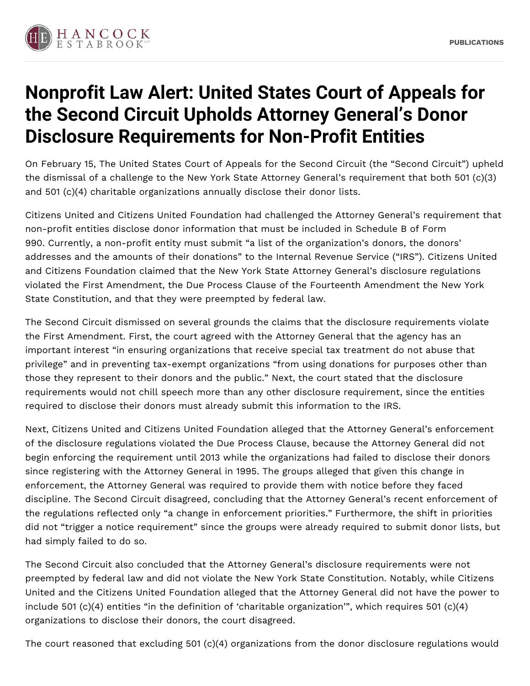

## **Nonprofit Law Alert: United States Court of Appeals for the Second Circuit Upholds Attorney General's Donor Disclosure Requirements for Non-Profit Entities**

On February 15, The United States Court of Appeals for the Second Circuit (the "Second Circuit") upheld the dismissal of a challenge to the New York State Attorney General's requirement that both 501 (c)(3) and 501 (c)(4) charitable organizations annually disclose their donor lists.

Citizens United and Citizens United Foundation had challenged the Attorney General's requirement that non-profit entities disclose donor information that must be included in Schedule B of Form 990. Currently, a non-profit entity must submit "a list of the organization's donors, the donors' addresses and the amounts of their donations" to the Internal Revenue Service ("IRS"). Citizens United and Citizens Foundation claimed that the New York State Attorney General's disclosure regulations violated the First Amendment, the Due Process Clause of the Fourteenth Amendment the New York State Constitution, and that they were preempted by federal law.

The Second Circuit dismissed on several grounds the claims that the disclosure requirements violate the First Amendment. First, the court agreed with the Attorney General that the agency has an important interest "in ensuring organizations that receive special tax treatment do not abuse that privilege" and in preventing tax-exempt organizations "from using donations for purposes other than those they represent to their donors and the public." Next, the court stated that the disclosure requirements would not chill speech more than any other disclosure requirement, since the entities required to disclose their donors must already submit this information to the IRS.

Next, Citizens United and Citizens United Foundation alleged that the Attorney General's enforcement of the disclosure regulations violated the Due Process Clause, because the Attorney General did not begin enforcing the requirement until 2013 while the organizations had failed to disclose their donors since registering with the Attorney General in 1995. The groups alleged that given this change in enforcement, the Attorney General was required to provide them with notice before they faced discipline. The Second Circuit disagreed, concluding that the Attorney General's recent enforcement of the regulations reflected only "a change in enforcement priorities." Furthermore, the shift in priorities did not "trigger a notice requirement" since the groups were already required to submit donor lists, but had simply failed to do so.

The Second Circuit also concluded that the Attorney General's disclosure requirements were not preempted by federal law and did not violate the New York State Constitution. Notably, while Citizens United and the Citizens United Foundation alleged that the Attorney General did not have the power to include 501 (c)(4) entities "in the definition of 'charitable organization'", which requires 501 (c)(4) organizations to disclose their donors, the court disagreed.

The court reasoned that excluding 501 (c)(4) organizations from the donor disclosure regulations would